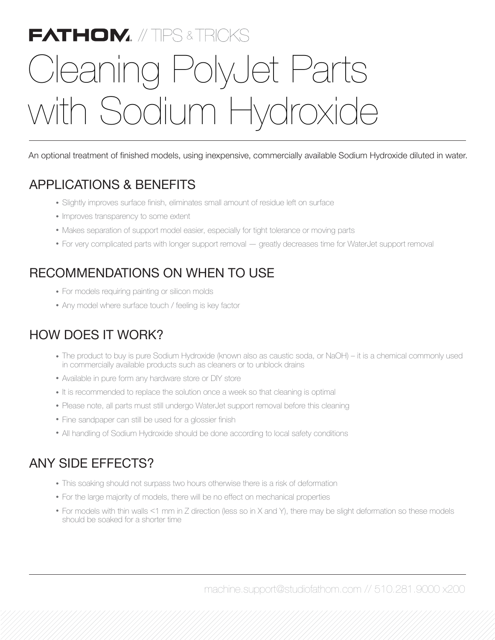# **FATHOM.** // TIPS & TRICKS Cleaning PolyJet Parts with Sodium Hydroxide

An optional treatment of finished models, using inexpensive, commercially available Sodium Hydroxide diluted in water.

### APPLICATIONS & BENEFITS

- Slightly improves surface finish, eliminates small amount of residue left on surface
- Improves transparency to some extent
- Makes separation of support model easier, especially for tight tolerance or moving parts
- For very complicated parts with longer support removal greatly decreases time for WaterJet support removal

## RECOMMENDATIONS ON WHEN TO USE

- For models requiring painting or silicon molds
- Any model where surface touch / feeling is key factor

#### HOW DOES IT WORK?

- The product to buy is pure Sodium Hydroxide (known also as caustic soda, or NaOH) ‒ it is a chemical commonly used in commercially available products such as cleaners or to unblock drains
- Available in pure form any hardware store or DIY store
- It is recommended to replace the solution once a week so that cleaning is optimal
- Please note, all parts must still undergo WaterJet support removal before this cleaning
- Fine sandpaper can still be used for a glossier finish
- All handling of Sodium Hydroxide should be done according to local safety conditions

#### ANY SIDE EFFECTS?

- This soaking should not surpass two hours otherwise there is a risk of deformation
- For the large majority of models, there will be no effect on mechanical properties
- For models with thin walls <1 mm in Z direction (less so in X and Y), there may be slight deformation so these models should be soaked for a shorter time